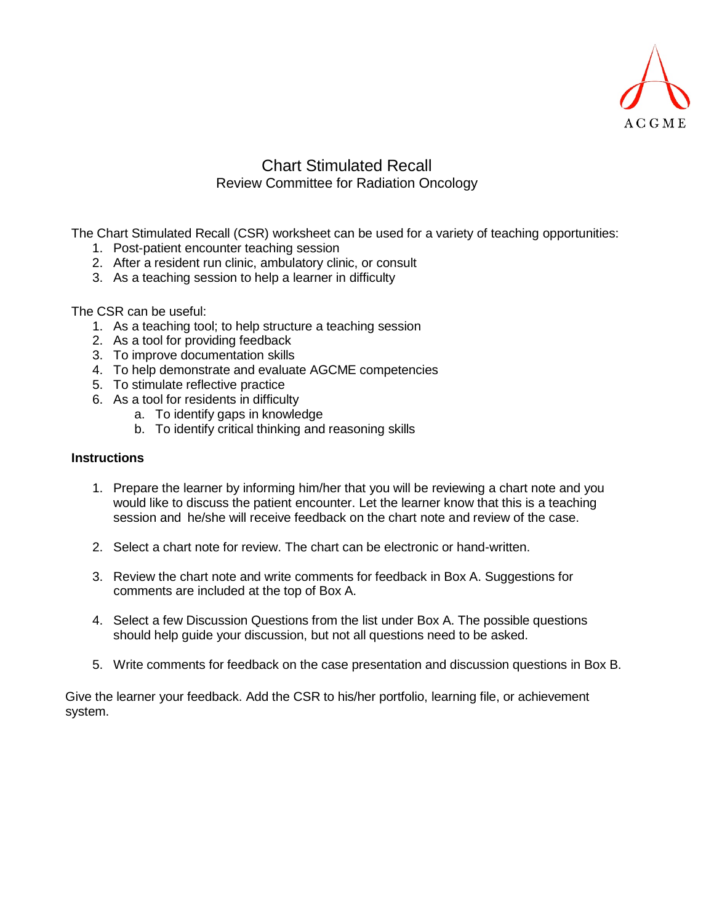

### Chart Stimulated Recall Review Committee for Radiation Oncology

The Chart Stimulated Recall (CSR) worksheet can be used for a variety of teaching opportunities:

- 1. Post-patient encounter teaching session
- 2. After a resident run clinic, ambulatory clinic, or consult
- 3. As a teaching session to help a learner in difficulty

The CSR can be useful:

- 1. As a teaching tool; to help structure a teaching session
- 2. As a tool for providing feedback
- 3. To improve documentation skills
- 4. To help demonstrate and evaluate AGCME competencies
- 5. To stimulate reflective practice
- 6. As a tool for residents in difficulty
	- a. To identify gaps in knowledge
	- b. To identify critical thinking and reasoning skills

#### **Instructions**

- 1. Prepare the learner by informing him/her that you will be reviewing a chart note and you would like to discuss the patient encounter. Let the learner know that this is a teaching session and he/she will receive feedback on the chart note and review of the case.
- 2. Select a chart note for review. The chart can be electronic or hand-written.
- 3. Review the chart note and write comments for feedback in Box A. Suggestions for comments are included at the top of Box A.
- 4. Select a few Discussion Questions from the list under Box A. The possible questions should help guide your discussion, but not all questions need to be asked.
- 5. Write comments for feedback on the case presentation and discussion questions in Box B.

Give the learner your feedback. Add the CSR to his/her portfolio, learning file, or achievement system.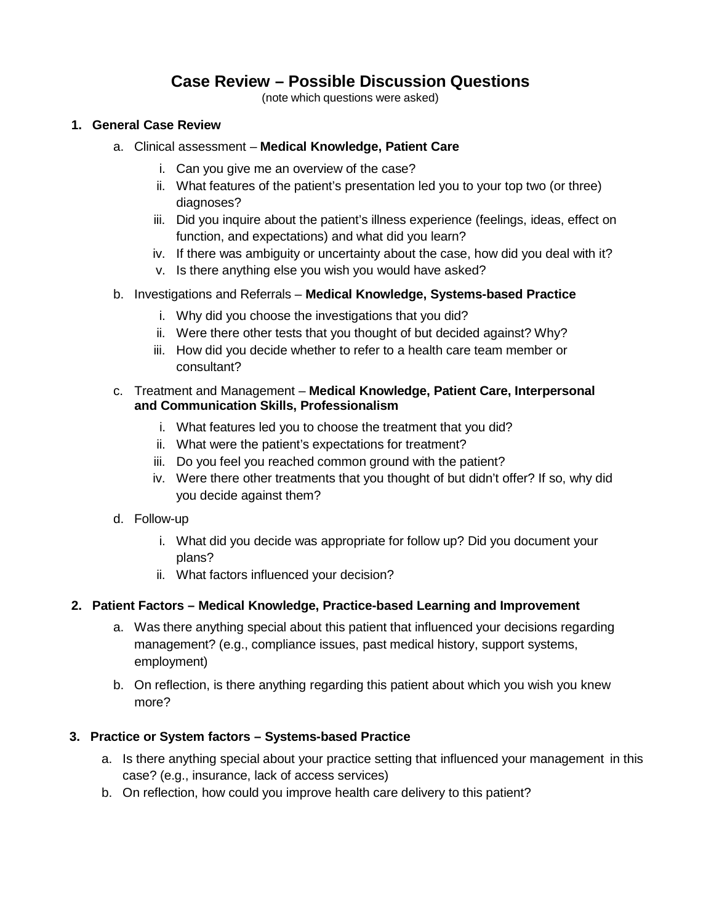## **Case Review – Possible Discussion Questions**

(note which questions were asked)

#### **1. General Case Review**

- a. Clinical assessment **Medical Knowledge, Patient Care**
	- i. Can you give me an overview of the case?
	- ii. What features of the patient's presentation led you to your top two (or three) diagnoses?
	- iii. Did you inquire about the patient's illness experience (feelings, ideas, effect on function, and expectations) and what did you learn?
	- iv. If there was ambiguity or uncertainty about the case, how did you deal with it?
	- v. Is there anything else you wish you would have asked?
- b. Investigations and Referrals **Medical Knowledge, Systems-based Practice**
	- i. Why did you choose the investigations that you did?
	- ii. Were there other tests that you thought of but decided against? Why?
	- iii. How did you decide whether to refer to a health care team member or consultant?

#### c. Treatment and Management – **Medical Knowledge, Patient Care, Interpersonal and Communication Skills, Professionalism**

- i. What features led you to choose the treatment that you did?
- ii. What were the patient's expectations for treatment?
- iii. Do you feel you reached common ground with the patient?
- iv. Were there other treatments that you thought of but didn't offer? If so, why did you decide against them?
- d. Follow-up
	- i. What did you decide was appropriate for follow up? Did you document your plans?
	- ii. What factors influenced your decision?

#### **2. Patient Factors – Medical Knowledge, Practice-based Learning and Improvement**

- a. Was there anything special about this patient that influenced your decisions regarding management? (e.g., compliance issues, past medical history, support systems, employment)
- b. On reflection, is there anything regarding this patient about which you wish you knew more?

#### **3. Practice or System factors – Systems-based Practice**

- a. Is there anything special about your practice setting that influenced your management in this case? (e.g., insurance, lack of access services)
- b. On reflection, how could you improve health care delivery to this patient?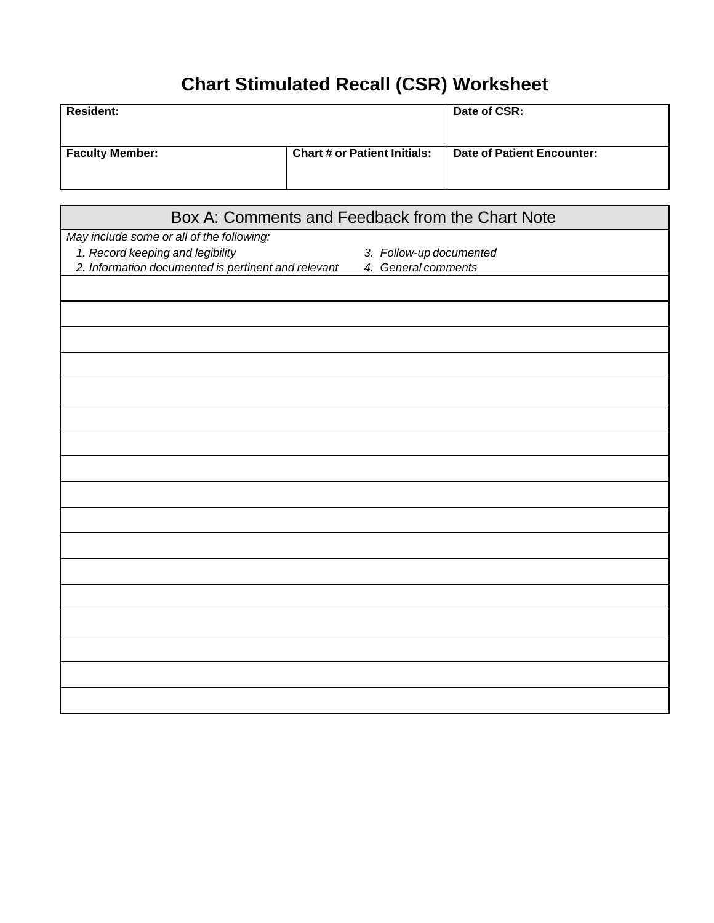# **Chart Stimulated Recall (CSR) Worksheet**

| <b>Resident:</b>       |                                     | Date of CSR:               |
|------------------------|-------------------------------------|----------------------------|
| <b>Faculty Member:</b> | <b>Chart # or Patient Initials:</b> | Date of Patient Encounter: |

| Box A: Comments and Feedback from the Chart Note    |                         |  |  |  |
|-----------------------------------------------------|-------------------------|--|--|--|
| May include some or all of the following:           |                         |  |  |  |
| 1. Record keeping and legibility                    | 3. Follow-up documented |  |  |  |
| 2. Information documented is pertinent and relevant | 4. General comments     |  |  |  |
|                                                     |                         |  |  |  |
|                                                     |                         |  |  |  |
|                                                     |                         |  |  |  |
|                                                     |                         |  |  |  |
|                                                     |                         |  |  |  |
|                                                     |                         |  |  |  |
|                                                     |                         |  |  |  |
|                                                     |                         |  |  |  |
|                                                     |                         |  |  |  |
|                                                     |                         |  |  |  |
|                                                     |                         |  |  |  |
|                                                     |                         |  |  |  |
|                                                     |                         |  |  |  |
|                                                     |                         |  |  |  |
|                                                     |                         |  |  |  |
|                                                     |                         |  |  |  |
|                                                     |                         |  |  |  |
|                                                     |                         |  |  |  |